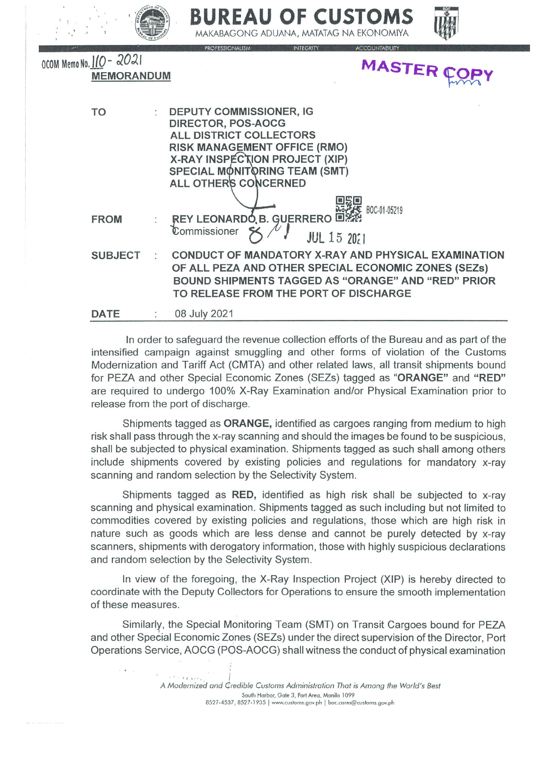|                                               | DUKEAU                                                                                                                                                                                                                                  | <b>UF LUSIUMS</b><br>MAKABAGONG ADUANA, MATATAG NA EKONOMIYA                                                                                                                                                            |           |
|-----------------------------------------------|-----------------------------------------------------------------------------------------------------------------------------------------------------------------------------------------------------------------------------------------|-------------------------------------------------------------------------------------------------------------------------------------------------------------------------------------------------------------------------|-----------|
| OCOM Memo No. 110 - 2021<br><b>MEMORANDUM</b> | <b>PROFESSIONALISM</b>                                                                                                                                                                                                                  | <b>INTEGRITY</b><br><b>ACCOUNTABILITY</b>                                                                                                                                                                               | MASTER CO |
| TO                                            | <b>DEPUTY COMMISSIONER, IG</b><br><b>DIRECTOR, POS-AOCG</b><br>ALL DISTRICT COLLECTORS<br><b>RISK MANAGEMENT OFFICE (RMO)</b><br><b>X-RAY INSPECTION PROJECT (XIP)</b><br>SPECIAL MONITORING TEAM (SMT)<br><b>ALL OTHER'S CONCERNED</b> | BOC-01-05219                                                                                                                                                                                                            |           |
| <b>FROM</b>                                   | REY LEONARDO B. GUERRERO 回答的<br>Commissioner                                                                                                                                                                                            | <b>JUL</b> 15 2071                                                                                                                                                                                                      |           |
| <b>SUBJECT</b>                                |                                                                                                                                                                                                                                         | <b>CONDUCT OF MANDATORY X-RAY AND PHYSICAL EXAMINATION</b><br>OF ALL PEZA AND OTHER SPECIAL ECONOMIC ZONES (SEZs)<br><b>BOUND SHIPMENTS TAGGED AS "ORANGE" AND "RED" PRIOR</b><br>TO RELEASE FROM THE PORT OF DISCHARGE |           |
| <b>DATE</b>                                   | 08 July 2021                                                                                                                                                                                                                            |                                                                                                                                                                                                                         |           |

In order to safeguard the revenue collection efforts of the Bureau and as part of the intensified campaign against smuggling and other forms of violation of the Customs Modernization and Tariff Act (CMTA) and other related laws, all transit shipments bound for PEZA and other Special Economic Zones (SEZs) tagged as "ORANGE" and "RED" are required to undergo 100% X-Ray Examination and/or Physical Examination prior to release from the port of discharge.

Shipments tagged as ORANGE, identified as cargoes ranging from medium to high risk shall pass through the x-ray scanning and should the images be found to be suspicious. shall be subjected to physical examination. Shipments tagged as such shall among others include shipments covered by existing policies and regulations for mandatory x-ray scanning and random selection by the Selectivity System.

Shipments tagged as RED, identified as high risk shall be subjected to x-ray scanning and physical examination. Shipments tagged as such including but not limited to commodities covered by existing policies and regulations, those which are high risk in nature such as goods which are less dense and cannot be purely detected by x-ray scanners, shipments with derogatory information, those with highly suspicious declarations and random selection by the Selectivity System.

In view of the foregoing, the X-Ray Inspection Project (XIP) is hereby directed to coordinate with the Deputy Collectors for Operations to ensure the smooth implementation of these measures.

Similarly, the Special Monitoring Team (SMT) on Transit Cargoes bound for PEZA and other Special Economic Zones (SEZs) under the direct supervision of the Director, Port Operations Service, AOCG (POS-AOCG) shall witness the conduct of physical examination